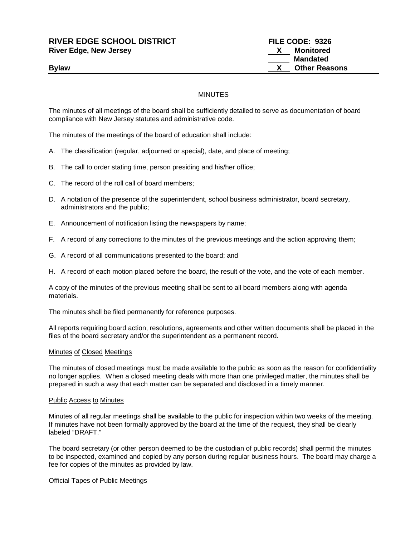**RIVER EDGE SCHOOL DISTRICT FILE CODE: 9326 River Edge, New Jersey X Monitored**

 **Mandated Bylaw Community Community Community Community Community Community Community Community Community Community Community Community Community Community Community Community Community Community Community Community Community Commu** 

## MINUTES

The minutes of all meetings of the board shall be sufficiently detailed to serve as documentation of board compliance with New Jersey statutes and administrative code.

The minutes of the meetings of the board of education shall include:

- A. The classification (regular, adjourned or special), date, and place of meeting;
- B. The call to order stating time, person presiding and his/her office;
- C. The record of the roll call of board members;
- D. A notation of the presence of the superintendent, school business administrator, board secretary, administrators and the public;
- E. Announcement of notification listing the newspapers by name;
- F. A record of any corrections to the minutes of the previous meetings and the action approving them;
- G. A record of all communications presented to the board; and
- H. A record of each motion placed before the board, the result of the vote, and the vote of each member.

A copy of the minutes of the previous meeting shall be sent to all board members along with agenda materials.

The minutes shall be filed permanently for reference purposes.

All reports requiring board action, resolutions, agreements and other written documents shall be placed in the files of the board secretary and/or the superintendent as a permanent record.

#### Minutes of Closed Meetings

The minutes of closed meetings must be made available to the public as soon as the reason for confidentiality no longer applies. When a closed meeting deals with more than one privileged matter, the minutes shall be prepared in such a way that each matter can be separated and disclosed in a timely manner.

#### Public Access to Minutes

Minutes of all regular meetings shall be available to the public for inspection within two weeks of the meeting. If minutes have not been formally approved by the board at the time of the request, they shall be clearly labeled "DRAFT."

The board secretary (or other person deemed to be the custodian of public records) shall permit the minutes to be inspected, examined and copied by any person during regular business hours. The board may charge a fee for copies of the minutes as provided by law.

#### Official Tapes of Public Meetings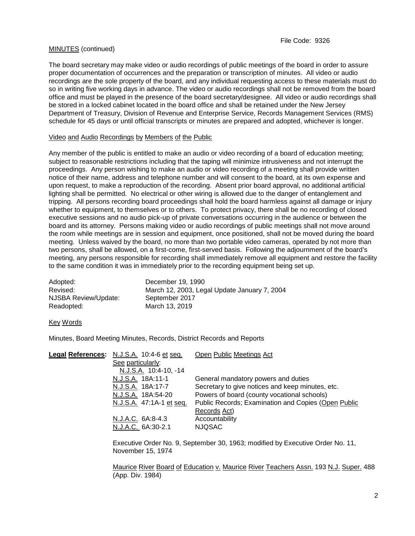## MINUTES (continued)

The board secretary may make video or audio recordings of public meetings of the board in order to assure proper documentation of occurrences and the preparation or transcription of minutes. All video or audio recordings are the sole property of the board, and any individual requesting access to these materials must do so in writing five working days in advance. The video or audio recordings shall not be removed from the board office and must be played in the presence of the board secretary/designee. All video or audio recordings shall be stored in a locked cabinet located in the board office and shall be retained under the New Jersey Department of Treasury, Division of Revenue and Enterprise Service, Records Management Services (RMS) schedule for 45 days or until official transcripts or minutes are prepared and adopted, whichever is longer.

## Video and Audio Recordings by Members of the Public

Any member of the public is entitled to make an audio or video recording of a board of education meeting; subject to reasonable restrictions including that the taping will minimize intrusiveness and not interrupt the proceedings. Any person wishing to make an audio or video recording of a meeting shall provide written notice of their name, address and telephone number and will consent to the board, at its own expense and upon request, to make a reproduction of the recording. Absent prior board approval, no additional artificial lighting shall be permitted. No electrical or other wiring is allowed due to the danger of entanglement and tripping. All persons recording board proceedings shall hold the board harmless against all damage or injury whether to equipment, to themselves or to others. To protect privacy, there shall be no recording of closed executive sessions and no audio pick-up of private conversations occurring in the audience or between the board and its attorney. Persons making video or audio recordings of public meetings shall not move around the room while meetings are in session and equipment, once positioned, shall not be moved during the board meeting. Unless waived by the board, no more than two portable video cameras, operated by not more than two persons, shall be allowed, on a first-come, first-served basis. Following the adjournment of the board's meeting, any persons responsible for recording shall immediately remove all equipment and restore the facility to the same condition it was in immediately prior to the recording equipment being set up.

| Adopted:             | December 19, 1990                            |
|----------------------|----------------------------------------------|
| Revised:             | March 12, 2003, Legal Update January 7, 2004 |
| NJSBA Review/Update: | September 2017                               |
| Readopted:           | March 13, 2019                               |

#### Key Words

Minutes, Board Meeting Minutes, Records, District Records and Reports

| Legal References: N.J.S.A. 10:4-6 et seq. | Open Public Meetings Act                            |
|-------------------------------------------|-----------------------------------------------------|
| See particularly:                         |                                                     |
| N.J.S.A. 10:4-10, -14                     |                                                     |
| N.J.S.A. 18A:11-1                         | General mandatory powers and duties                 |
| N.J.S.A. 18A:17-7                         | Secretary to give notices and keep minutes, etc.    |
| N.J.S.A. 18A:54-20                        | Powers of board (county vocational schools)         |
| N.J.S.A. 47:1A-1 et seq.                  | Public Records; Examination and Copies (Open Public |
|                                           | Records Act)                                        |
| N.J.A.C. 6A:8-4.3                         | Accountability                                      |
| N.J.A.C. 6A:30-2.1                        | <b>NJQSAC</b>                                       |
|                                           |                                                     |

Executive Order No. 9, September 30, 1963; modified by Executive Order No. 11, November 15, 1974

Maurice River Board of Education v. Maurice River Teachers Assn. 193 N.J. Super. 488 (App. Div. 1984)